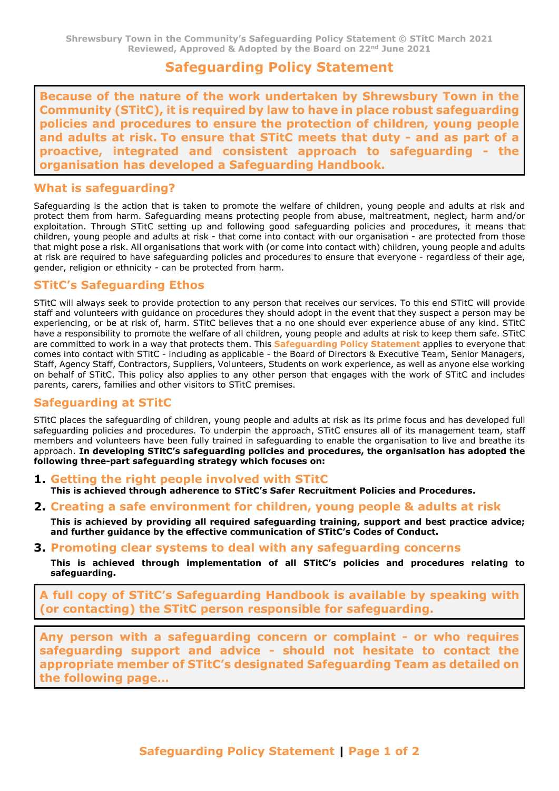# **Safeguarding Policy Statement**

**Because of the nature of the work undertaken by Shrewsbury Town in the Community (STitC), it is required by law to have in place robust safeguarding policies and procedures to ensure the protection of children, young people and adults at risk. To ensure that STitC meets that duty - and as part of a proactive, integrated and consistent approach to safeguarding - the organisation has developed a Safeguarding Handbook.** 

#### **What is safeguarding?**

Safeguarding is the action that is taken to promote the welfare of children, young people and adults at risk and protect them from harm. Safeguarding means protecting people from abuse, maltreatment, neglect, harm and/or exploitation. Through STitC setting up and following good safeguarding policies and procedures, it means that children, young people and adults at risk - that come into contact with our organisation - are protected from those that might pose a risk. All organisations that work with (or come into contact with) children, young people and adults at risk are required to have safeguarding policies and procedures to ensure that everyone - regardless of their age, gender, religion or ethnicity - can be protected from harm.

### **STitC's Safeguarding Ethos**

STitC will always seek to provide protection to any person that receives our services. To this end STitC will provide staff and volunteers with guidance on procedures they should adopt in the event that they suspect a person may be experiencing, or be at risk of, harm. STitC believes that a no one should ever experience abuse of any kind. STitC have a responsibility to promote the welfare of all children, young people and adults at risk to keep them safe. STitC are committed to work in a way that protects them. This **Safeguarding Policy Statement** applies to everyone that comes into contact with STitC - including as applicable - the Board of Directors & Executive Team, Senior Managers, Staff, Agency Staff, Contractors, Suppliers, Volunteers, Students on work experience, as well as anyone else working on behalf of STitC. This policy also applies to any other person that engages with the work of STitC and includes parents, carers, families and other visitors to STitC premises.

#### **Safeguarding at STitC**

STitC places the safeguarding of children, young people and adults at risk as its prime focus and has developed full safeguarding policies and procedures. To underpin the approach, STitC ensures all of its management team, staff members and volunteers have been fully trained in safeguarding to enable the organisation to live and breathe its approach. **In developing STitC's safeguarding policies and procedures, the organisation has adopted the following three-part safeguarding strategy which focuses on:** 

- **1. Getting the right people involved with STitC This is achieved through adherence to STitC's Safer Recruitment Policies and Procedures.**
- **2. Creating a safe environment for children, young people & adults at risk**
- **This is achieved by providing all required safeguarding training, support and best practice advice; and further guidance by the effective communication of STitC's Codes of Conduct.**
- **3. Promoting clear systems to deal with any safeguarding concerns**

**This is achieved through implementation of all STitC's policies and procedures relating to safeguarding.** 

**A full copy of STitC's Safeguarding Handbook is available by speaking with (or contacting) the STitC person responsible for safeguarding.**

**Any person with a safeguarding concern or complaint - or who requires safeguarding support and advice - should not hesitate to contact the appropriate member of STitC's designated Safeguarding Team as detailed on the following page…**